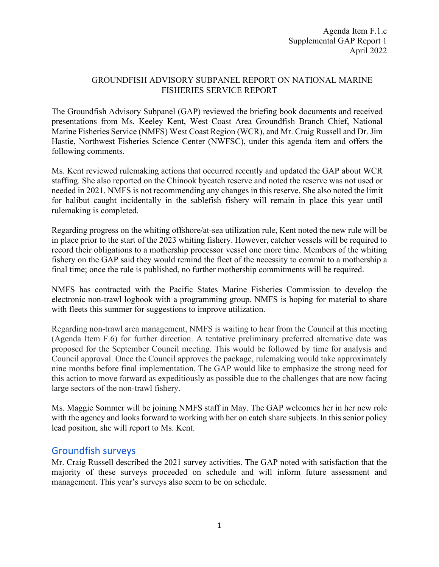## GROUNDFISH ADVISORY SUBPANEL REPORT ON NATIONAL MARINE FISHERIES SERVICE REPORT

The Groundfish Advisory Subpanel (GAP) reviewed the briefing book documents and received presentations from Ms. Keeley Kent, West Coast Area Groundfish Branch Chief, National Marine Fisheries Service (NMFS) West Coast Region (WCR), and Mr. Craig Russell and Dr. Jim Hastie, Northwest Fisheries Science Center (NWFSC), under this agenda item and offers the following comments.

Ms. Kent reviewed rulemaking actions that occurred recently and updated the GAP about WCR staffing. She also reported on the Chinook bycatch reserve and noted the reserve was not used or needed in 2021. NMFS is not recommending any changes in this reserve. She also noted the limit for halibut caught incidentally in the sablefish fishery will remain in place this year until rulemaking is completed.

Regarding progress on the whiting offshore/at-sea utilization rule, Kent noted the new rule will be in place prior to the start of the 2023 whiting fishery. However, catcher vessels will be required to record their obligations to a mothership processor vessel one more time. Members of the whiting fishery on the GAP said they would remind the fleet of the necessity to commit to a mothership a final time; once the rule is published, no further mothership commitments will be required.

NMFS has contracted with the Pacific States Marine Fisheries Commission to develop the electronic non-trawl logbook with a programming group. NMFS is hoping for material to share with fleets this summer for suggestions to improve utilization.

Regarding non-trawl area management, NMFS is waiting to hear from the Council at this meeting (Agenda Item F.6) for further direction. A tentative preliminary preferred alternative date was proposed for the September Council meeting. This would be followed by time for analysis and Council approval. Once the Council approves the package, rulemaking would take approximately nine months before final implementation. The GAP would like to emphasize the strong need for this action to move forward as expeditiously as possible due to the challenges that are now facing large sectors of the non-trawl fishery.

Ms. Maggie Sommer will be joining NMFS staff in May. The GAP welcomes her in her new role with the agency and looks forward to working with her on catch share subjects. In this senior policy lead position, she will report to Ms. Kent.

## Groundfish surveys

Mr. Craig Russell described the 2021 survey activities. The GAP noted with satisfaction that the majority of these surveys proceeded on schedule and will inform future assessment and management. This year's surveys also seem to be on schedule.